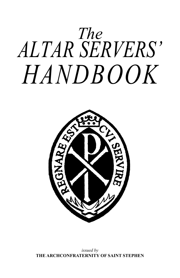



*issued by*  **THE ARCHCONFRATERNITY OF SAINT STEPHEN**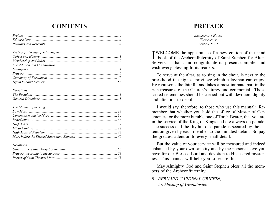# **CONTENTS**

| Archconfraternity of Saint Stephen |  |
|------------------------------------|--|
|                                    |  |
|                                    |  |
|                                    |  |
|                                    |  |
|                                    |  |
|                                    |  |
|                                    |  |

#### *Directions*

#### *The Manner of Serving*

#### *Devotions*

# **PREFACE**

*Archbishop's House, Westminster, London, S.W.i.*

**I**WELCOME the appearance of a new edition of the hand<br>book of the Archconfraternity of Saint Stephen for Altar book of the Archconfraternity of Saint Stephen for Altar-Servers. I thank and congratulate its present compiler and wish every blessing to its readers.

To serve at the altar, as to sing in the choir, is next to the priesthood the highest privilege which a layman can enjoy. He represents the faithful and takes a most intimate part in the rich treasures of the Church's liturgy and ceremonial. Those sacred ceremonies should be carried out with devotion, dignity and attention to detail.

I would say, therefore, to those who use this manual: Remember that whether you hold the office of Master of Ceremonies, or the more humble one of Torch Bearer, that you are in the service of the King of Kings and are always on parade. The success and the rhythm of a parade is secured by the attention given by each member to the minutest detail. So pay the greatest attention to every small detail.

But the value of your service will be measured and indeed enhanced by your own sanctity and by the personal love you have for our Blessed Lord and devotion to His sacred mysteries. This manual will help you to secure this.

May Almighty God and Saint Stephen bless all the members of the Archconfraternity.

#### *BERNARD CARDINAL GRIFFIN, Archbishop of Westminster.*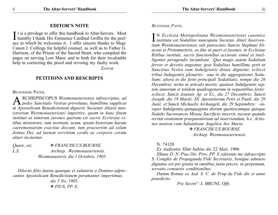#### **EDITOR'S NOTE**

It is a privilege to offer this handbook to Altar-Servers. Most<br>humbly I thank His Eminence Cardinal Griffin for the preface in which he welcomes it. I offer sincere thanks to Msgr. Canon J. Collings for helpful counsel, as well as to Father G. Harrison, of the Priests of the Sacred Heart, who compiled the pages on serving Low Mass; and to both for their invaluable help in correcting the proof and revising my faulty work.

 *Editor*

#### **PETITIONS AND RESCRIPTS**

BEATISSIME PATER.

ARCHIEPISCOPUS *Westmonasteriensis infrascriptus, ad pedes Sanctiatis Vestrae provolutus, humillime supplicat ut Apostolicam Benedictionem digneris Societati Altaris ministrorum Westmonasteriensi impertire, quam in hunc finem instituit ut nimirum juvenes quorum est sacris Ecclesiae ritibus ministrare, tum normam, usum, ipsam historiam harum caeremoniarum exactius discant, tum praesertim ad zelum domus Dei, ad laetum servitium cordis ac corporis coram altari incitentur.*

| Quare, etc. | <b>EXANCISCUS BOURNE</b>              |
|-------------|---------------------------------------|
| L.S.        | Archiep. Westmonasteriensis.          |
|             | Westmonasterii, die 1 Octobris, 1905. |

*Dilectis filiis fausta quaeque et salutaria a Domino adprecantes Apostolicam Benedictionem peramanter impertimus. die 5 No. 1905, PIUS, PP. X.*

*Beatissime Pater,*

I <sup>N</sup>*Ecclesia Metropolitana Westmonasteriensi canonice instituta est Sodalitas nuncupata Societas Altari Inserventium Westmonasteriensis sub patrocinio Sancto Stephani Diaconi et Protomartyris, eo fine ut pueri et juvenes, in Ecclesiae Ritibus instituti, sacris functionibus accurate simul et intelligenter peragendis incumbant. Quo magis autem Sodalium fervor et devotio augeatur, ipsa Sodalitas humillime petit ut Sanctitas Vestra eam Indulgentiis ditare dignetur, scilicet tribus Indugentiis plenariis: una in die aggregationis Sodalium; altera in die festo principali Sodalitatis, nempe die 26 Decembris; tertia in articulo mortis; quatuor Indulgentiis septem annorum et totidem quadragenarum in sequentibus festis: scilicet, Sancti Joannis Ap. et Ev., die 27 Decembris; Sancti Joseph, die 19 Martii; SS. Apostolorum Petri et Pauli, die 29 Junii; et Sancti Michaelis Archangeli, die 29 Septembris: -insuper Indulgentia quinquaginta dierum quotiescumque quisque Sodalis Sacrosancto Missae Sacrificio inservit, necnon quando recitat orationem praeparatoriam ad inserviendum, h.e. Actiones nostras cum Salutatione Angelica Ave Maria.* 

  *FRANCISCUS BOURNE Archiep. Westmonasteriensis.*

#### N. 74120.

*Ex Audientia SSmi habita die* 22 *Maii,* 1906

*SSmus D. N. Pius Div. Prov. PP. X referente me infrascripto S. Congñis de Propaganda Fide Secretario, benigne adnuere dignatus est pro gratia in omnibus juxta preces, in perpetuum, servatis consuetis conditionibus.*

*Datum Romae ex Aed. S. C. de Prop'da Fide die et anno praedictis.*

*Pro Secretº* -J. BRUNI, *Offs.*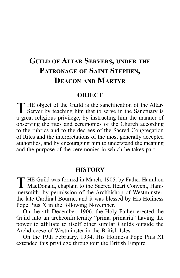# **Guild of Altar Servers, under the Patronage of Saint Stephen, Deacon and Martyr**

#### **OBJECT**

THE object of the Guild is the sanctification of the Altar-<br>Server by teaching him that to serve in the Sanctuary is a great religious privilege, by instructing him the manner of observing the rites and ceremonies of the Church according to the rubrics and to the decrees of the Sacred Congregation of Rites and the interpretations of the most generally accepted authorities, and by encouraging him to understand the meaning and the purpose of the ceremonies in which he takes part.

#### **HISTORY**

THE Guild was formed in March, 1905, by Father Hamilton MacDonald, chaplain to the Sacred Heart Convent, Hammersmith, by permission of the Archbishop of Westminster, the late Cardinal Bourne, and it was blessed by His Holiness Pope Pius X in the following November.

On the 4th December, 1906, the Holy Father erected the Guild into an archconfraternity "prima primaria" having the power to affiliate to itself other similar Guilds outside the Archdiocese of Westminster in the British Isles.

On the 19th February, 1934, His Holiness Pope Pius XI extended this privilege throughout the British Empire.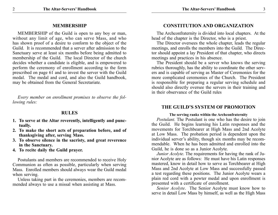#### **MEMBERSHIP**

MEMBERSHIP of the Guild is open to any boy or man, without any limit of age, who can serve Mass, and who has shown proof of a desire to conform to the object of the Guild. It is recommended that a server after admission to the Sanctuary serve at least six months before being admitted to membership of the Guild. The local Director of the church decides whether a candidate is eligible, and is empowered to perform the ceremony of enrollment according to the form prescribed on page 61 and to invest the server with the Guild medal. The medal and cord, and also the Guild handbook, may be obtained from the General Secretariate.

*Every member on enrollment promises to observe the following rules:*

## **RULES**

- **1. To serve at the Altar reverently, intelligently and punctually.**
- **2. To make the short acts of preparation before, and of thanksgiving after, serving Mass.**
- **3. To observe silence in the sacristy, and great reverence in the Sanctuary.**
- **4. To recite daily the Guild prayer.**

Postulants and members are recommended to receive Holy Communion as often as possible, particularly when serving Mass. Enrolled members should always wear the Guild medal when serving.

Unless taking part in the ceremonies, members are recommended always to use a missal when assisting at Mass.

## **CONSTITUTION AND ORGANIZATION**

The Archconfraternity is divided into local chapters. At the head of the chapter is the Director, who is a priest.

The Director oversees the whole chapter, leads the regular meetings, and enrolls the members into the Guild. The Director should appoint a lay President of that chapter, who directs meetings and practices in his absence.

The President should be a server who knows the serving rubrics thoroughly, has the ability to coordinate the other servers and is capable of serving as Master of Ceremonies for the more complicated ceremonies of the Church. The President is responsible for preparing a regular serving schedule and should also directly oversee the servers in their training and in their observance of the Guild rules

#### **THE GUILD'S SYSTEM OF PROMOTION**

#### **The serving ranks within the Archconfraternity**

*Postulant*. The Postulant is one who has the desire to join the Guild. He begins learning his Latin responses and the movements for Torchbearer at High Mass and 2nd Acolyte at Low Mass. The probation period is dependent upon the individual server's ability, though six months may be recommendable. When he has been admitted and enrolled into the Guild, he is done so as a Junior Acolyte.

*Junior Acolyte*. The requirements for having the rank of Junior Acolyte are as follows: He must have his Latin responses mastered, know in detail how to serve as Torchbearer at High Mass and 2nd Acolyte at Low Mass and successfully passed a test regarding these positions. The Junior Acolyte wears a plain red cord with a pewter medal and upon enrollment is presented with a certificate of enrollment.

*Senior Acolyte*. The Senior Acolyte must know how to serve in detail Low Mass by himself, as well as the High Mass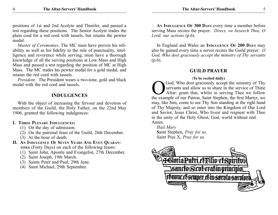positions of 1st and 2nd Acolyte and Thurifer, and passed a test regarding these positions. The Senior Acolyte trades the plain cord for a red cord with tassels, but retains the pewter medal.

*Master of Ceremonies*. The MC must have proven his reliability as well as his fidelity to the rule of punctuality, intelligence and reverence while serving, must have a thorough knowledge of all the serving positions at Low Mass and High Mass and passed a test regarding the position of MC at High Mass. The MC trades his pewter medal for a gold medal, and retains the red cord with tassels.

*President*. The President wears a two-tone, gold and black medal with the red cord and tassels.

## **INDULGENCES**

With the object of increasing the fervour and devotion of members of the Guild, the Holy Father, on the 22nd May 1906, granted the following indulgences:

#### **I. Three Plenary Indulgences:**

- (1) On the day of admission.
- (2) On the patronal feast of the Guild, 26th December.
- (3) At the hour of death.
- **II. An Indulgence Of Seven Years And Even Quarantines** (Forty Days) on each of the following feasts:
	- (1) Saint John, Apostle and Evangelist, 27th December.
	- (2) Saint Joseph, 19th March.
	- (3) Saints Peter and Paul, 29th June.
	- (4) Saint Michael, 29th September.

**An Indulgence Of 300 Days** every time a member before serving Mass recites the prayer: *Direct, we beseech Thee, O Lord, our actions* (p.6).

In England and Wales an **INDULGENCE OF 200 DAYS** may also be gained every time a server recites the Guild prayer: *O God, Who dost graciously accept the ministry of Thy servants* (p.6).

#### **GUILD PRAYER**

#### (**To be recited daily)**

God, Who dost graciously accept the ministry of Thy servants and allow us to share in the service of Thine Altar: grant that, whilst in serving Thee we follow the example of our Patron, Saint Stephen, the first Martyr, we may, like him, come to see Thy Son standing at the right hand of Thy Majesty, and so enter into the Kingdom of Our Lord and Savior, Jesus Christ, Who livest and reignest with Thee in the unity of the Holy Ghost, God, world without end. Amen.

*Hail Mary*

**S**aint Stephen, *Pray for us.* Saint Pius X, *Pray for us.*

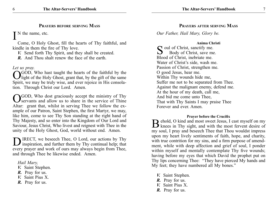#### **Prayers before serving Mass**

N the name, etc.

Come, O Holy Ghost, fill the hearts of Thy faithful, and kindle in them the fire of Thy love.

*V.* Send forth Thy Spirit, and they shall be created.

*R.* And Thou shalt renew the face of the earth.

*Let us pray.*

**OGOD**, Who hast taught the hearts of the faithful by the light of the Holy Ghost, grant that, by the gift of the same Spirit, we may be truly wise, and ever rejoice in His consolation. Through Christ our Lord. Amen.

**NGOD, Who dost graciously accept the ministry of Thy** servants and allow us to share in the service of Thine Altar: grant that, whilst in serving Thee we follow the example of our Patron, Saint Stephen, the first Martyr, we may, like him, come to see Thy Son standing at the right hand of Thy Majesty, and so enter into the Kingdom of Our Lord and Saviour, Jesus Christ, Who livest and reignest with Thee in the unity of the Holy Ghost, God, world without end. Amen.

IRECT, we beseech Thee, O Lord, our actions by Thy inspiration, and further them by Thy continual help; that every prayer and work of ours may always begin from Thee, and through Thee be likewise ended. Amen.

*Hail Mary,*

- *V.* Saint Stephen.
- *R.* Pray for us.
- *V.* Saint Pius X.
- *R.* Pray for us.

**Prayers after serving Mass**

*Our Father, Hail Mary, Glory be.*

#### **Anima Christi**

Soul of Christ, sanctify me.<br>Body of Christ, save me Body of Christ, save me. Blood of Christ, inebriate me. Water of Christ's side, wash me. Passion of Christ, strengthen me. O good Jesus, hear me. Within Thy wounds hide me, Suffer me not to be separated from Thee. Against the malignant enemy, defend me. At the hour of my death, call me, And bid me come unto Thee, That with Thy Saints I may praise Thee Forever and ever. Amen.

#### **Prayer before the Crucifix**

**D** ehold, O kind and most sweet Jesus, I cast myself on my  $\mathbf D$  knees in Thy sight, and with the most fervent desire of my soul, I pray and beseech Thee that Thou wouldst impress upon my heart lively sentiments of faith, hope, and charity, with true contrition for my sins, and a firm purpose of amendment, while with deep affection and grief of soul, I ponder within myself and mentally contemplate Thy five wounds; having before my eyes that which David the prophet put on Thy lips concerning Thee: "They have pierced My hands and My feet; they have numbered all My bones."

- *V.* Saint Stephen.
- *R.* Pray for us.
- *V.* Saint Pius X.
- *R.* Pray for us.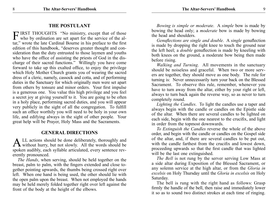## **THE POSTULANT**

FIRST THOUGHTS "No ministry, except that of those who by ordination are set apart for the service of the altar," wrote the late Cardinal Bourne in his preface to the first edition of this handbook, "deserves greater thought and consideration than the duty entrusted to those laymen and youths who have the office of assisting the priests of God in the discharge of their sacred functions." Willingly you have come forward to take up this exalted office, to enjoy the privilege which Holy Mother Church grants you of wearing the sacred dress of a cleric, namely, cassock and cotta, and of performing duties in the Sanctuary for which originally men were set apart from others by tonsure and minor orders. Your first impulse is a generous one. You value this high privilege and you feel a secret joy at giving yourself to it. You are going to be often in a holy place, performing sacred duties, and you will appear very publicly in the sight of all the congregation. To fulfill such an office worthily you will need to be holy in your own life, and edifying always in the sight of other people. Your great help will be Prayer, Holy Mass and the Sacraments.

#### **GENERAL DIRECTIONS**

A LL actions should be done deliberately, thoroughly and without hurry, but not slowly. All the words should be spoken audibly, each syllable articulated, every sentence reverently pronounced.

*The Hands*, when serving, should be held together on the breast, palm to palm, with the fingers extended and close together pointing upwards, the thumbs being crossed right over left. When one hand is being used, the other should lie with the open palm upon the breast. When not employed the hands may be held merely folded together right over left against the front of the body at the height of the elbows.

*Bowing is simple or moderate*. A *simple* bow is made by bowing the head only; a *moderate* bow is made by bowing the head and shoulders.

*Genuflections are single and double*. A *single* genuflection is made by dropping the right knee to touch the ground near the left heel; a *double* genuflection is made by kneeling with both knees on the ground, a moderate bow being then made before rising.

*Walking and Turning*. All movements in the sanctuary should be noiseless and graceful. When two or more servers are together, they should move as one body. The rule for turning is: Never unnecessarily turn your back on the Blessed Sacrament. To observe this rule, remember, whenever you have to turn away from the altar, either by your right or left, always to turn back again the reverse way, so as never to turn completely round.

*Lighting the Candles*. To light the candles use a taper and always begin with the candle or candles on the Epistle side of the altar. When there are several candles to be lighted on each side, begin with the one nearest to the crucifix, and light in order from the topmost downwards.

*To Extinguish the Candles* reverse the whole of the above order, and begin with the candle or candles on the Gospel side of the altar, and, if there are several candles to be put out, with the candle farthest from the crucifix and lowest down, proceeding upwards so that the first candle that was lighted will be the last one extinguished.

*The Bell* is not rung by the server serving Low Mass at a side altar during Exposition of the Blessed Sacrament, or any solemn service at the high altar, or from the *Gloria in excelsis* on Holy Thursday until the *Gloria in excelsis* on Holy Saturday.

The bell is rung with the right hand as follows: Grasp firmly the handle of the bell, then raise and immediately lower it so as to sound two distinct strokes at each time of ringing.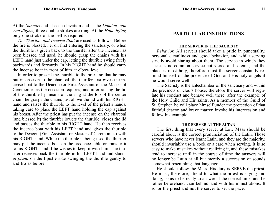At the *Sanctus* and at each elevation and at the *Domine, non sum dignus,* three double strokes are rung. At the *Hanc igitur,* only one stroke of the bell is required.

*The Thurible and Incense Boat* are used as follows: Before the fire is blessed, i.e. on first entering the sanctuary, or when the thurible is given back to the thurifer after the incense has been blessed and used, he should grasp the chains with his LEFT hand just under the cap, letting the thurible swing freely backwards and forwards. In his RIGHT hand he should carry the incense boat in front of him at elbow level.

In order to present the thurible to the priest so that he may put incense on to the charcoal, the thurifer first gives the incense boat to the Deacon (or First Assistant or the Master of Ceremonies as the occasion requires) and after raising the lid of the thurible by means of the ring at the top of the center chain, he grasps the chains just above the lid with his RIGHT hand and raises the thurible to the level of the priest's hands, taking care to place the LEFT hand holding the cap against his breast. After the priest has put the incense on the charcoal (and blessed it) the thurifer lowers the thurible, closes the lid and passes the thurible to his RIGHT hand. He then receives the incense boat with his LEFT hand and gives the thurible to the Deacon (First Assistant or Master of Ceremonies) with his RIGHT hand. While the thurible is being used the thurifer may put the incense boat on the credence table or transfer it to his RIGHT hand if he wishes to keep it with him. The thurifer receives back the thurible in his LEFT hand and stands *in plano* on the Epistle side swinging the thurible gently to and fro as before.

# **PARTICULAR INSTRUCTIONS**

#### **The Server in the Sacristy**

*Behavior.* All servers should take a pride in punctuality, personal cleanliness and good behavior, and while serving strictly avoid staring about them. The service in which they assist is no common service but sacred and solemn, and the place is most holy, therefore must the server constantly remind himself of the presence of God and His holy angels if he would serve well.

The Sacristy is the antechamber of the sanctuary and within the precincts of God's house; therefore the server will regulate his conduct and behave well there, after the example of the Holy Child and His saints. As a member of the Guild of St. Stephen he will place himself under the protection of that faithful deacon and brave martyr, invoke his intercession and follow his example.

#### **THE SERVER AT THE ALTAR**

The first thing that every server at Low Mass should be careful about is the correct pronunciation of the Latin. Those servers who have never learnt Latin, and they are the majority, should invariably use a book or a card when serving. It is so easy to make mistakes without realizing it, and these mistakes tend to increase until in the course of time the answers will no longer be Latin at all but merely a succession of sounds somewhat resembling that language.

He should follow the Mass. His duty is SERVE the priest. He must, therefore, attend to what the priest is saying and doing, so as to be ready to answer at the correct time, and be rather beforehand than behindhand with his ministrations. It is for the priest and not the server to set the pace.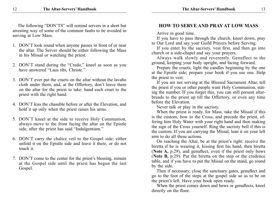The following "DON'TS" will remind servers in a short but arresting way of some of the common faults to be avoided in serving at Low Mass.

- 1. DON'T look round when anyone passes in front of or near the altar. The Server should be either following the Mass in his Missal or watching the priest.
- 2. DON'T stand during the "Credo," kneel as soon as you have answered "Laus tibi, Christe."
- 3. DON'T ever put the cruets on the altar without the lavabo cloth under them, and, at the Offertory, don't leave them on the altar for the priest to take: hand each cruet to the priest with the right hand.
- 4. DON'T kiss the chasuble before or after the Elevation, and hold it up only when the priest raises his arms.
- 5. DON'T kneel at the side to receive Holy Communion, always move to the front facing the altar on the Epistle side, after the priest has said "Indulgentiam."
- 6. DON'T carry the chalice veil to the Gospel side; either unfold it on the Epistle side and leave it there, or do not touch it.
- 7. DON'T come to the center for the priest's blessing, remain at the Gospel side until the priest has begun the last Gospel.

#### **HOW TO SERVE AND PRAY AT LOW MASS**

Arrive in good time.

If you have to pass through the church, kneel down, pray to Our Lord and say your Guild Prayers before Serving.

If you enter by the sacristy, vest first, and then go into church or a side-chapel and say your prayers.

Always walk slowly and reverently. Genuflect to the ground, keeping your body upright, and facing forward.

Prepare the cruets; light the candles beginning by the one at the Epistle side; prepare your book if you use one. Help the priest to vest.

If you are not serving at the Blessed Sacrament Altar, tell the priest if you or other people want Holy Communion, stating the number. If you forget this, you can still present altarbreads to the priest up till the Offertory, or even any time before the Elevation.

Never talk or play in the sacristy.

When the priest is ready, for Mass, take the Missal if this is the custom, bow to the Cross, and precede the priest, offering him Holy Water with your right hand and then making the sign of the Cross yourself. Ring the sacristy bell if this is the custom. If you are carrying the Missal, lean it on your left arm to do all these actions.

On reaching the Altar, be at the priest's right: receive the biretta if he is wearing it, kissing first his hand, then biretta (**Note A,** p.29), and genuflect, even if the priest only bows (**Note B,** p.29). Put the biretta on the step or the credence table, and if you have to put the Missal on the stand, go round by the side.

Then if necessary, close the sanctuary gates, genuflect and go to the foot of the steps at the gospel side so as to be on the priest's left. Have your book open ready.

When the priest comes down and bows or genuflects, kneel directly on the floor.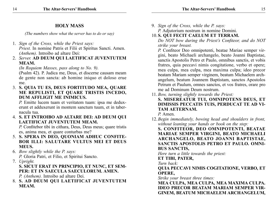## **HOLY MASS**

*(The numbers show what the server has to do or say)*

- 1. *Sign of the Cross, while the Priest says: Priest.* In nomine Patris et Filii et Spiritus Sancti. Amen. *(Anthem).* Introibo ad altare Dei:
- 2. *Server.* **AD DEUM QUI LAETIFICAT JUVENTUTEM MEAM.**

*(In Requiem Masses, pass along to No. 9).*

(Psalm 42). P. Judica me, Deus, et discerne causam meam de gente non sancta: ab homine iniquo et doloso erue me.

3. **S. QUIA TU ES, DEUS FORTITUDO MEA, QUARE ME REPULISTI, ET QUARE TRISTIS INCEDO, DUM AFFLIGIT ME INIMICUS.**

*P.* Emitte lucem tuam et veritatem tuam: ipsa me deduxerunt et adduxerunt in montem sanctum tuum, et in tabernacula tua.

4. **S. ET INTROIBO AD ALTARE DEI: AD DEUM QUI LAETIFICAT JUVENTUTEM MEAM.**

*P.* Confitebor tibi in cithara, Deus, Deus meus; quare tristis es, anima mea, et quare conturbas me?

- 5. **S. SPERA IN DEO, QUONIAM ADHUC CONFITE-BOR ILLI: SALUTARE VULTUS MEI ET DEUS MEUS.**
- 6. *Bow slightly while the P. says: P.* Gloria Patri, et Filio, et Spiritui Sancto.
- 7. *Upright.*

**S. SICUT ERAT IN PRINCIPIO, ET NUNC, ET SEM-PER: ET IN SAECULA SAECULORUM. AMEN.**

*P. (Anthem).* Introibo ad altare Dei.

8. **S. AD DEUM QUI LAETIFICAT JUVENTUTEM MEAM.**

9. *Sign of the Cross, while the P. says: P.* Adjutorium nostrum in nomine Domini.

# 10.**S. QUI FECIT CAELUM ET TERRAM.**

*Do NOT bow during the Priest's Confiteor, and do NOT strike your breast.*

*P.* Confiteor Deo omnipotenti, beatae Mariae semper virgini, beato Michaeli archangelo, beato Joanni Baptistae, sanctis Apostolis Petro et Paulo, omnibus sanctis, et vobis fratres, quia peccavi nimis congitatione, verbo et opere; mea culpa, mea culpa, mea maxima culpa; ideo precor beatam Mariam semper virginem, beatum Michaelem archangelum, beatum Joannem Baptistam, sanctos Apostolos Petrum et Paulum, omnes sanctos, et vos fratres, orare pro me ad Dominum Deum nostrum.

- 11. *Bow, turning slightly towards the Priest:*
- **S. MISEREATUR TUI, OMNIPOTENS DEUS, ET DIMISSIS PECCATIS TUIS, PERDUCAT TE AD VI-TAM AETERNAM.** *P.* Amen.
- 12.*Begin immediately, bowing head and shoulders in front, without leaning your hands or book on the step:*

**S. CONFITEOR, DEO OMNIPOTENTI, BEATAE MARIAE SEMPER VIRGINI, BEATO MICHAELI ARCHANGELO, BEATO JOANNI BAPTISTAE, SANCTIS APOSTOLIS PETRO ET PAULO. OMNI-BUS SANCTIS,**

*Here turn a little towards the priest:*

**ET TIBI, PATER,**

*Turn back:*

**QUIA PECCAVI NIMIS COGITATIONE, VERBO, ET OPERE,**

*Strike your breast three times:*

**MEA CULPA, MEA CULPA, MEA MAXIMA CULPA. IDEO PRECOR BEATAM MARIAM SEMPER VIR-GINEM, BEATUM MICHAELEM ARCHANGELUM,**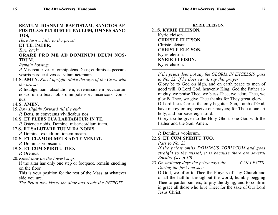*Here turn a little to the priest:*

#### **ET TE, PATER,**

#### *Turn back:*

## **ORARE PRO ME AD DOMINUM DEUM NOS-TRUM.**

 *Remain bowing:*

*P.* Misereatur vestri, omnipotens Deus; et dimissis peccatis vestris perducat vos ad vitam aeternam.

13.**S. AMEN.** *Kneel upright. Make the sign of the Cross with the priest:*

*P.* Indulgentiam, absolutionem, et remissionem peccatorum nostrorum tribuat nobis omnipotens et misericors Dominus.

## 14.**S. AMEN.**

15.*Bow slightly forward till the end:*

*P.* Deus, tu conversus vivificabus nos.

16.**S. ET PLEBS TUA LAETABITUR IN TE.**

*P.* Ostende nobis, Domine, misericordiam tuam.

# 17.**S. ET SALUTARE TUUM DA NOBIS.**

- *P.* Domine, exaudi orationem meam.
- 18.**S. ET CLAMOR MEUS AD TE VENIAT.**
	- *P.* Dominus vobiscum.
- 19.**S. ET CUM SPIRITU TUO.**

*P.* Oremus.

20.*Kneel now on the lowest step.*

If the altar has only one step or footpace, remain kneeling on the floor.

This is your position for the rest of the Mass, at whatever side you are.

*The Priest now kisses the altar and reads the INTROIT.*

**Kyrie eleison.** 21.**S. KYRIE ELEISON.** Kyrie eleison **CHRISTE ELEISON.** Christe eleison. **CHRISTE ELEISON.** Kyrie eleison. **KYRIE ELEISON.** Kyrie eleison.

*If the priest does not say the GLORIA IN EXCELSIS, pass to No. 22. If he does say it, say this prayer:*

Glory be to God on high, and on earth peace to men of good will. O Lord God, heavenly King, God the Father almighty, we praise Thee, we bless Thee, we adore Thee, we glorify Thee, we give Thee thanks for They great glory. O Lord Jesus Christ, the only begotten Son, Lamb of God, have mercy on us; receive our prayers; for Thou alone art holy, and our sovereign Lord.

Glory too be given to the Holy Ghost, one God with the Father and the Son. Amen.

# *P.* Dominus vobiscum.

# 22.**S. ET CUM SPIRITU TUO.**

*Pass to No. 23.*

*If the priest omits DOMINUS VOBISCUM and goes straight to the missal, it is because there are several Epistles (see p.30).*

23.*On ordinary days the priest says the COLLECTS. During the first one say:*

O God, we offer to Thee the Prayers of Thy Church and of all the faithful throughout the world, humbly begging Thee to pardon sinners, to pity the dying, and to confirm in grace all those who love Thee: for the sake of Our Lord Jesus Christ.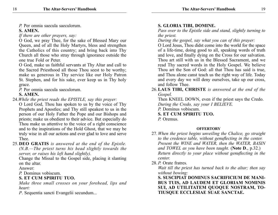*P.* Per omnia saecula saeculorum.

# **S. AMEN.**

*If there are other prayers, say:*

O God, we pray Thee, for the sake of Blessed Mary our Queen, and of all the Holy Martyrs, bless and strengthen the Catholics of this country; and bring back into Thy Church all those who stray through ignorance outside the one true Fold or Peter.

O God, make us faithful servants at Thy Altar and call to the Sacred Priesthood all those Thou seest to be worthy; make us generous in Thy service like our Holy Patron St. Stephen, and for his sake, ever keep us in Thy holy grace.

*P.* Per omnia saecula saeculorum.

# **S. AMEN.**

24.*While the priest reads the EPISTLE, say this prayer:*

O Lord God, Thou has spoken to us by the voice of Thy Prophets and Apostles; and Thy still speakest to us in the person of our Holy Father the Pope and our Bishops and priests; make us obedient to their advice. But especially do Thou make us attentive to the voice of a right conscience and to the inspirations of the Hold Ghost, that we may be truly wise in all our actions and ever glad to love and serve Thee.

25.**DEO GRATIS** *is answered at the end of the Epistle. (N.B.—The priest turns his head slightly towards the server, or raises his left hand slightly).*

Change the Missal to the Gospel side, placing it slanting on the altar.

Answer:

*P.* Dominus vobiscum.

# **S. ET CUM SPIRITU TUO.**

*Make three small crosses on your forehead, lips and heart:*

*P*. Sequentia sancti Evangelii secundum...

# **S. GLORIA TIBI, DOMINE.**

*Pass over to the Epistle side and stand, slightly turning to the priest.*

*During the gospel, say what you can of this prayer:*

O Lord Jesus, Thou didst come into the world for the space of a life-time, doing good to all, speaking words of truth and love, and finally dying on the Cross for our salvation. Thou art still with us in the Blessed Sacrament, and we read Thy sacred words in the Holy Gospel. We believe Thou art the Son of God: all that Thou has said is true, and Thou alone canst teach us the right way of life. Today and every day we will deny ourselves, take up our cross, and follow Thee.

26.**LAUS TIBI, CHRISTE** *is answered at the end of the Gospel.*

Then KNEEL DOWN, even if the priest says the Credo. *During the Credo, say your I BELIEVE.*

*P.* Dominus vobiscum.

- **S. ET CUM SPIRITU TUO.**
- *P.* Oremus.

# **OFFERTORY**

- 27.*When the priest begins unveiling the Chalice, go straight to the credence table, without genuflecting in the center. Present the WINE and WATER, then the WATER, BASIN and TOWEL as you have been taught.* (**Note D**., p.32.) *Return directly to your place without genuflecting in the center.*
- 28.*P.* Orate fratres.

*Wait till the priest has turned back to the altar; then say without bowing:*

**S. SUSCIPIAT DOMINUS SACRIFICIUM DE MANI-BUS TUIS, AD LAUDEM ET GLORIAM NOMINIS SUI, AD UTILITATEM QUOQUE NOSTRAM, TO-TIUSQUE ECCLESIAE SUAE SANCTAE.**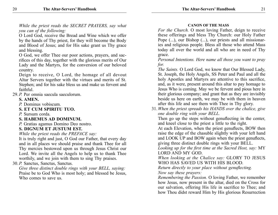*While the priest reads the SECRET PRAYERS, say what you can of the following:*

O Lord God, receive the Bread and Wine which we offer by the hands of Thy priest, for they will become the Body and Blood of Jesus; and for His sake grant us Thy grace and blessing.

O God, we offer Thee our poor actions, prayers, and sacrifices of this day, together with the glorious merits of Our Lady and the Martyrs, for the conversion of our beloved country.

Deign to receive, O Lord, the homage of all devout Altar Servers together with the virtues and merits of St. Stephen; and for his sake bless us and make us fervent and faithful.

29.*P.* Per omnia saecula saeculorum.

## **S. AMEN.**

*P.* Dominus vobiscum.

**S. ET CUM SPIRITU TUO.**

*P.* Sursum corda.

**S. HABEMUS AD DOMINUM.**

*P.* Gratias agamus Domino Deo nostro. **S. DIGNUM ET JUSTUM EST.**

*While the priest reads the PREFACE say:*

It is truly right and just, O God our Father, that every day and in all places we should praise and thank Thee for all Thy mercies bestowed upon us through Jesus Christ our Lord. We invite all the Angels to help us to thank Thee worthily, and we join with them to sing Thy praises.

30.*P.* Sanctus, Sanctus, Sanctus.

*Give three distinct double rings with your BELL, saying:* Praise be to God Who is most holy; and blessed be Jesus, Who comes to save us.

#### **CANON OF THE MASS**

*For the Church.* O most loving Father, deign to receive these offerings and bless Thy Church: our Holy Father Pope  $(...)$ , our Bishop  $(...)$ , our priests and all missionaries and religious people. Bless all those who attend Mass today all over the world and all who are in need of Thy grace.

#### *Personal Intentions. Here name all those you want to pray for.*

*The Saints.* O Lord God, we know that Our Blessed Lady, St. Joseph, the Holy Angels, SS Peter and Paul and all the holy Apostles and Martyrs are attentive to this sacrifice, and, as it were, present around this altar to pay homage to Jesus Who is coming. May we be fervent and pious here in their glorious company; and grant that as they are invisibly beside us here on earth, we may be with them in heaven after this life and see them with Thee in Thy glory.

31.*When the priest spreads his HANDS over the chalice, give one double ring with your BELL.*

Then go up the steps without genuflecting in the center, and kneel close to the priest a little to the right.

At each Elevation, when the priest genuflects, BOW then raise the edge of the chasuble slightly with your left hand and LOOK UP and BOW again when the priest genuflects, giving three distinct double rings with your BELL.

*Looking up for the first time at the Sacred Host, say:* MY LORD AND MY GOD.

*When looking at the Chalice say:* GLORY TO JESUS WHO HAS SAVED US WITH HIS BLOOD.

*Return directly to your place without genuflecting. Now say these prayers:*

 *Remembering the Passion.* O loving Father, we remember how Jesus, now present in the altar, died on the Cross for our salvation, offering His life in sacrifice to Thee; and how Thou didst reward Him by His glorious Resurrection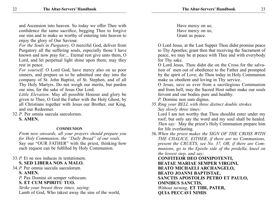and Ascension into heaven. So today we offer Thee with confidence the same sacrifice, begging Thee to forgive our sins and to make us worthy of entering into heaven to enjoy the glory of Our Saviour.

*For the Souls in Purgatory.* O merciful God, deliver from Purgatory all the suffering souls, especially those I have known and now pray for:... Eternal rest give unto them, O Lord, and let perpetual light shine upon them; may they rest in peace.

*For yourself.* O Lord God, have mercy also on us poor sinners, and prepare us to be admitted one day into the company of St. John Baptist, of St. Stephen, and of all Thy Holy Martyrs. Do not weigh our merits, but pardon our sins, for the sake of Jesus Our Lord.

*Little Elevation.* May all possible Honour and glory be given to Thee, O God the Father with the Holy Ghost, by all Christians together with Jesus our Brother, our King, and our Redeemer.

32.*P*. Per omnia saecula saeculorum. **S. AMEN.**

#### **COMMUNION**

*From now onwards, all your prayers should prepare you for Holy Communion, the "Daily Bread" of our souls.* Say our "OUR FATHER" with the priest, thinking how each request can be fulfilled by Holy Communion.

- 33.*P.* Et ne nos inducas in tentationem. **S. SED LIBERA NOS A MALO.**
- 34.*P.* Per omnia saecula saeculorum. **S. AMEN.** *P.* Pax Domini sit semper vobiscum.

**S. ET CUM SPIRITU TUO.**

*Strike your breast three times, saying:* Lamb of God, Who takest away the sins of the world,  Have mercy on us; Have mercy on us; Grant us peace.

O Lord Jesus, at the Last Supper Thou didst promise peace to Thy Apostles; grant then that receiving the Sacrament of peace, we may be at peace with Thee and with everybody for Thy sake.

O Lord Jesus, Thou didst die on the Cross for the salvation of men out of obedience to the Father and prompted by the spirit of Love; do Thou today in Holy Communion make us obedient and loving in Thy service.

O Jesus, save us ever from a sacrilegious Communion and from hell; may the Sacred Host rather make our souls fervent and our bodies pure and healthy.

*P.* Domine non sum dignus.

35. *Ring your BELL with three distinct double strokes. Say slowly three times:*

Lord I am not worthy that Thou shouldst enter under my roof; but only say the word and my soul shall be healed. *Then say:* May the priest's Holy Communion prepare him for life everlasting.

36.*When the priest makes the SIGN OF THE CROSS WITH THE CHALICE, EITHER, if there are no Communions, present the CRUETS, see No. 37, OR, if there are Communions, go to the Epistle side of the predella, kneel on the lowest step, and say:*

**CONFITEOR DEO OMNIPOTENTI, BEATAE MARIAE SEMPER VIRGINI, BEATO MICHAELI ARCHANGELO, BEATO JOANNI BAPTISTAE, SANCTIS APOSTOLIS PETRO ET PAULO, OMNIBUS SANCTIS,** *Without turning,* **ET TIBI, PATER, QUIA PECCAVI NIMIS**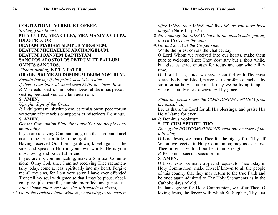## **COGITATIONE, VERBO, ET OPERE,**

*Striking your breast,*

## **MEA CULPA, MEA CULPA, MEA MAXIMA CULPA. IDEO PRECOR**

#### **BEATAM MARIAM SEMPER VIRGINEM, BEATUM MICHAELEM ARCHANGELUM, BEATUM JOANNEM BAPTISTAM, SANCTOS APOSTOLOS PETRUM ET PAULUM, OMNES SANCTOS,**

#### *Without turning,* **ET TE, PATER, ORARE PRO ME AD DOMINUM DEUM NOSTRUM.**

*Remain bowing if the priest says Misereatur.*

*If there is an interval, kneel upright till he starts. Bow.*

*P.* Misereatur vestri, omnipotens Deus, et dismissis peccatis vestris, perducat vos ad vitam aeternam.

# **S. AMEN.**

*Upright. Sign of the Cross.*

*P.* Indulgentiam, absolutionem, et remissionem peccatorum vestrorum tribuat vobis omnipotens et misericors Dominus.

# **S. AMEN.**

*Get the Communion Plate for yourself or the people communicating.*

If you are receiving Communion, go up the steps and kneel near to the priest a little to the right.

Having received Our Lord, go down, kneel again at the side, and speak to Him in your own words: He is your most loving and powerful Friend.

If you are not communicating, make a Spiritual Communion:O my God, since I am not receiving Thee sacramentally today, come at least spiritually into my heart. Forgive me all my sins, for I am very sorry I have ever offended Thee; fill my soul with grace so that I may be pious, obedient, pure, just, truthful, humble, mortified, and generous. *After Communion, or when the Tabernacle is closed,*

37.*Go to the credence table without genuflecting in the center;* 

*offer WINE, then WINE and WATER, as you have been taught.* (**Note E.,** p.32.)

- 38.*Now change the MISSAL back to the epistle side, putting it STRAIGHT on the altar.*
- 39.*Go and kneel at the Gospel side.*

While the priest covers the chalice, say:

O Lord Whom we received into our hearts, make them pure to welcome Thee; Thou dost stay but a short while, but give us grace enough for today and our whole lifetime.

Of Lord Jesus, since we have been fed with Thy most sacred body and Blood, never let us profane ourselves by sin after so holy a sacrament; may we be living temples where Thou dwellest always by Thy grace.

*When the priest reads the COMMUNION ANTHEM from the missal, say:*

Let us thank the Lord for all His blessings; and praise His Holy Name for ever.

40.*P.* Dominus vobiscum.

# **S. ET CUM SPIRITU TUO.**

*During the POSTCOMMUNIONS, read one or more of the following:*

O Lord Jesus, we thank Thee for the high gift of Thyself Whom we receive in Holy Communion; may us ever love Thee in return with all our heart and strength.

41.*P.* Per omnia saecula saeculorum.

# **S. AMEN.**

O Lord Jesus, we make a special request to Thee today in Holy Communion: make Thyself known to all the people of this country that they may return to the true Faith and be once again admitted to Thy Holy Sacraments as in the Catholic days of old.

In thanksgiving for Holy Communion, we offer Thee, O loving Jesus, the fervor with which St. Stephen, Thy first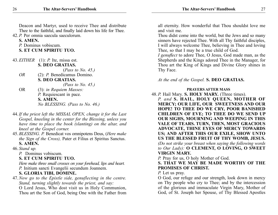Deacon and Martyr, used to receive Thee and distribute Thee to the faithful, and finally laid down his life for Thee.

42.*P.* Per omnia saecula saeculorum.

**S. AMEN.**

*P.* Dominus vobiscum.

**S. ET CUM SPIRITU TUO.**

43.*EITHER* (1): *P.* Ite, missa est. **S. DEO GRATIAS.** *(Pass to No. 45.)*<br>*OR* (2): *P.* Benedicamus Domino *OR* (2): *P.* Benedicamus Domino. **S. DEO GRATIAS.** *(Pass to No. 45.)* OR (3): *in Requiem Masses: P.* Requiescant in pace. **S. AMEN.** *No BLESSING. (Pass to No. 46.)*

- 44.*If the priest left the MISSAL OPEN, change it for the Last Gospel, kneeling in the center for the Blessing, unless you have time to place the book (slanting) on the altar, and kneel at the Gospel corner.*
- 45.*BLESSING. P.* Benedicat vos omnipotens Deus, (*Here make the Sign of the Cross),* Pater et Filius et Spiritus Sanctus. **S. AMEN.**
- 46. *Stand up.*

*P.* Dominus vobiscum.

**S. ET CUM SPIRITU TUO.**

*Here make three small crosses on your forehead, lips and heart. P.* Initium sancti Evangelii secundum Joannem.

# **S. GLORIA TIBI, DOMINE.**

47.*Now go to the Epistle side, genuflecting in the centre. Stand, turning slightly towards the priest, and say:*

O Lord Jesus, Who dost visit us in Holy Communion, Thou art the Son of God, being One with the Father from all eternity. How wonderful that Thou shouldst love me and visit me.

Thou didst come into the world, but the Jews and so many sinners have rejected Thee. With all Thy faithful disciples, I will always welcome Thee, believing in Thee and loving Thee, so that I may be a true child of God.

*I genuflect* to adore Thee, O Jesus, God made man, as the Shepherds and the Kings adored Thee in the Manager, for Thou art the King of Kings and Divine Glory shines in Thy Face.

*At the end of the Gospel.* **S. DEO GRATIAS.**

## **PRAYERS AFTER MASS**

48.*P.* Hail Mary. **S. HOLY MARY.** (Three times).

*P. and* **S. HAIL, HOLY QUEEN, MOTHER OF MERCY; OUR LIFE, OUR SWEETNESS AND OUR HOPE! TO THEE DO WE CRY, POOR BANISHED CHILDREN OF EVE; TO THEE DO WE SEND UP OUR SIGHS, MOURNING AND WEEPING IN THIS VALE OF TEARS. TURN, THEN, MOST GRACIOUS ADVOCATE, THINE EYES OF MERCY TOWARDS US; AND AFTER THIS OUR EXILE, SHOW UNTO US THE BLESSED FRUIT OF THY WOMB, JESUS.** *(Do not strike your breast when saying the following words to Our Lady):* **O CLEMENT, O LOVING, O SWEET VIRGIN MARY.**

*P.* Pray for us, O holy Mother of God.

**S. THAT WE MAY BE MADE WORTHY OF THE PROMISES OF CHRIST.**

*P.* Let us pray.

O God, our refuge and our strength, look down in mercy on Thy people who cry to Thee; and by the intercession of the glorious and immaculate Virgin Mary, Mother of God, of St. Joseph her Spouse, of Thy Blessed Apostles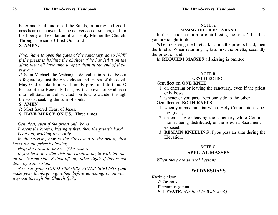Peter and Paul, and of all the Saints, in mercy and goodness hear our prayers for the conversion of sinners, and for the liberty and exaltation of our Holy Mother the Church. Through the same Christ Our Lord.

# **S. AMEN.**

*If you have to open the gates of the sanctuary, do so NOW if the priest is holding the chalice; if he has left it on the altar, you will have time to open them at the end of these prayers.*

*P*. Saint Michael, the Archangel, defend us in battle; be our safeguard against the wickedness and snares of the devil. May God rebuke him, we humbly pray; and do thou, O Prince of the Heavenly host, by the power of God, cast into hell Satan and all wicked spirits who wander through the world seeking the ruin of souls.

## **S. AMEN**

*P.* Most Sacred Heart of Jesus.

**S. HAVE MERCY ON US.** (Three times).

*Genuflect, even if the priest only bows.*

*Present the biretta, kissing it first, then the priest's hand. Lead out, walking reverently.*

*In the sacristy, bow to the Cross and to the priest, then kneel for the priest's blessing.*

*Help the priest to unvest, if he wishes.*

*If you have to extinguish the candles, begin with the one on the Gospel side. Switch off any other lights if this is not done by a sacristan.*

*Now say your GUILD PRAYERS AFTER SERVING (and make your thanksgiving) either before unvesting, or on your way out through the Church (p.7.)*

#### **NOTE A. KISSING THE PRIEST'S HAND.**

In this matter perform or omit kissing the priest's hand as you are taught to do.

When receiving the biretta, kiss first the priest's hand, then the biretta. When returning it, kiss first the biretta, secondly the priest's hand.

In **REQUIEM MASSES** all kissing is omitted.

## **NOTE B.**

#### **GENUFLECTING.**

## Genuflect on **ONE KNEE**

- 1. on entering or leaving the sanctuary, even if the priest only bows,
- 2. whenever you pass from one side to the other.

# Genuflect on **BOTH KNEES**

- 1. when you pass an altar where Holy Communion is being given,
- 2. on entering or leaving the sanctuary while Communion is being distributed, or the Blessed Sacrament is exposed.
- 3. **REMAIN KNEELING** if you pass an altar during the Elevation.

# **NOTE C.**

# **SPECIAL MASSES**

*When there are several Lessons.*

# **WEDNESDAYS**

Kyrie eleison. *P.* Oremus. Flectamus genua. **S. LEVATE.** *(Omitted in Whit-week).*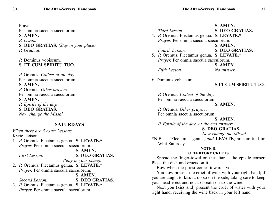| Prayer.                                      | S. AMEN.                                                          |
|----------------------------------------------|-------------------------------------------------------------------|
| Per omnia saecula saeculorum.                | <b>S. DEO GRATIAS.</b><br>Third Lesson.                           |
| S. AMEN.                                     | 4. P. Oremus. Flectamus genua. S. LEVATE.*                        |
| P. Lesson                                    | Prayer. Per omnia saecula saeculorum.                             |
| S. DEO GRATIAS. (Stay in your place).        | S. AMEN.                                                          |
| P. Gradual.                                  | <b>S. DEO GRATIAS.</b><br>Fourth Lesson.                          |
|                                              | 5. P. Oremus. Flectamus genua. S. LEVATE.*                        |
| P. Dominus vobiscum.                         | Prayer. Per omnia saecula saeculorum.                             |
| S. ET CUM SPIRITU TUO.                       | S. AMEN.                                                          |
|                                              | Fifth Lesson.<br>No answer.                                       |
| P. Oremus. Collect of the day.               |                                                                   |
| Per omnia saecula saeculorum.                | P. Dominus vobiscum                                               |
| S. AMEN.                                     | <b>S.ET CUM SPIRITU TUO.</b>                                      |
| P. Oremus. Other prayers:                    |                                                                   |
| Per omnia saecula saeculorum.                | P. Oremus. Collect of the day.                                    |
| S. AMEN.                                     | Per omnia saecula saeculorum.                                     |
| P. Epistle of the day.                       | S. AMEN.                                                          |
| S. DEO GRATIAS.                              | P. Oremus. Other prayers.                                         |
| Now change the Missal.                       | Per omnia saecula saeculorum.                                     |
|                                              | S. AMEN.                                                          |
| <b>SATURDAYS</b>                             | P. Epistle of the day. At the end answer:                         |
| When there are 5 extra Lessons.              | <b>S. DEO GRATIAS.</b>                                            |
| Kyrie eleison.                               | Now change the Missal.                                            |
| 1. P. Oremus. Flectamus genua. S. LEVATE.*   | *N.B. — Flectamus genua, and LEVATE, are omitted on               |
| <i>Prayer.</i> Per omnia saecula saeculorum. | Whit-Saturday.<br>NOTE D.                                         |
| S. AMEN.                                     | <b>OFFERTORY CRUETS</b>                                           |
| <b>S. DEO GRATIAS.</b><br>First Lesson.      | Spread the finger-towel on the altar at the epistle corner.       |
| (Stay in your place).                        | Place the dish and cruets on it.                                  |
| 2. P. Oremus. Flectamus genua. S. LEVATE.*   | Bow when the priest comes towards you.                            |
| Prayer. Per omnia saecula saeculorum.        | You now present the cruet of wine with your right hand; if        |
| S. AMEN.                                     | you are taught to kiss it, do so on the side, taking care to keep |
| Second Lesson.<br><b>S. DEO GRATIAS.</b>     | your head erect and not to breath on to the wine.                 |
| 3. P. Oremus. Flectamus genua. S. LEVATE.*   | Next you (kiss and) present the cruet of water with your          |
| Prayer. Per omnia saecula saeculorum.        | right hand, receiving the wine back in your left hand.            |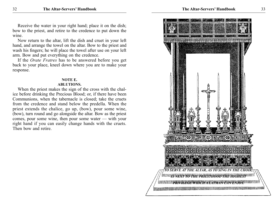Receive the water in your right hand; place it on the dish; bow to the priest, and retire to the credence to put down the wine.

Now return to the altar, lift the dish and cruet in your left hand, and arrange the towel on the altar. Bow to the priest and wash his fingers; he will place the towel after use on your left arm. Bow and put everything on the credence.

If the *Orate Fratres* has to be answered before you get back to your place, kneel down where you are to make your response.

#### **NOTE E.**

#### **ABLUTIONS.**

When the priest makes the sign of the cross with the chalice before drinking the Precious Blood; or, if there have been Communions, when the tabernacle is closed; take the cruets from the credence and stand below the predella. When the priest extends the chalice, go up, (bow), pour some wine, (bow), turn round and go alongside the altar. Bow as the priest comes, pour some wine, then pour some water — with your right hand if you can easily change hands with the cruets. Then bow and retire.

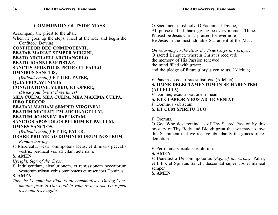Accompany the priest to the altar. When he goes up the steps, kneel at the side and begin the Confiteor: Bowing. **CONFITEOR DEO ONMIPOTENTI, BEATAE MARIAE SEMPER VIRGINI, BEATO MICHAELI ARCHANGELO, BEATO JOANNI BAPTISTAE, SANCTIS APOSTOLIS PETRO ET PAULO, OMNIBUS SANCTIS,** *(Without turning)* **ET TIBI, PATER, QUIA PECCAVI NIMIS CONGITATIONE, VERBO, ET OPERE,** *(Strike your breast three times)* **MEA CULPA, MEA CULPA, MEA MAXIMA CULPA. IDEO PRECOR BEATAM MARIAM SEMPER VIRGINEM, BEATUM MICHAELEM ARCHANGELUM,**

# **BEATUM JOANNEM BAPTISTAM, SANCTOS APOSTOLOS PETRUM ET PAULUM, OMNES SANCTOS,**

*(Without turning)* **ET TE, PATER,**

# **ORARE PRO ME AD DOMINUM DEUM NOSTRUM.**

 *Remain bowing.*

*P.* Misereatur vestri omnipotens Deus, et dimissis peccatis vestris, perducat vos ad vitam aeternam.

# **S. AMEN.**

*Upright. Sign of the Cross.*

*P.* Indulgentiam, absolutionem, et remissionem peccatorum vestrorum tribuat vobis omnipotens et misericors Dominus.

# **S. AMEN.**

*Take the Communion Plate to the communicats. During Communion pray to Our Lord in your own words. Or repeat over and over again:*

O Sacrament most holy, O Sacrament Divine, All praise and all thanksgiving be every moment Thine. Praised be Jesus Christ, praised for evermore Be Jesus in the most adorable Sacrament of the Altar.

*On returning to the Altar the Priest says this prayer:* O sacred Banquet, wherein Christ is received; the memory of His Passion renewed; the mind filled with grace; and the pledge of future glory given to us. (Alleluia).

# *P.* Panem de coelo praestitisti eis, (Alleluia). **S. OMNE DELECTAMENTUM IN SE HABENTEM (ALLELUIA).**

- *P.* Domine, exaudi orationem meam.
- **S. ET CLAMOR MEUS AD TE VENIAT.**
- *P.* Dominus vobiscum.
- **S. ET CUM SPIRITU TUO.**

# *P.* Oremus.

O God Who dost remind us of Thy Sacred Passion by this mystery of Thy Body and Blood; grant that we may so love this Sacrament that we receive abundantly the graces of redemption.

*P.* Per omnia saecula saeculorum.

# **S. AMEN.**

*P.* Benedictio Dei omnipotentis *(Sign of the Cross),* Patris, et Filio, et Spiritus Sancti, descendat super vos et maneat semper.

**S. AMEN.**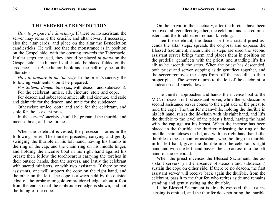## **THE SERVER AT BENEDICTION**

*How to prepare the Sanctuary.* If there be no sacristan, the server may remove the crucifix and altar cover; if necessary, also the altar cards, and place on the altar the Benediction candlesticks. He will see that the monstrance is in position on the Gospel side, with the opening towards the Tabernacle. If altar steps are used, they should be placed *in plano* on the Gospel side. The humeral veil should be placed folded on the credence. The Benediction book and the bell may be on the altar step.

*How to prepare in the Sacristy.* In the priest's sacristy the following vestments should be prepared:

*For Solemn Benediction* (i.e., with deacon and subdeacon). For the celebrant: amice, alb, cincture, stole and cope.

For deacon and subdeacon: amice, alb and cincture, and stole and dalmatic for the deacon, and tunic for the subdeacon.

Otherwise: amice, cotta and stole for the celebrant, and stole for the assistant priest.

In the servers' sacristy should be prepared the thurible and incense boat, and the torches.

When the celebrant is vested, the procession forms in the following order: The thurifer precedes, carrying and gently swinging the thurible in his left hand, having his thumb in the ring of the cap, and the chain ring on his middle finger, and holding the incense boat in his right hand against his breast; then follow the torchbearers carrying the torches in their outside hands, then the servers, and lastly the celebrant with sacred ministers, or with two assistants. If there be two assistants, one will support the cope on the right hand, and the other on the left. The cope is always held by the outside edge of the orphrey or gold-embroidered edge, about a foot from the end, so that the embroidered edge is shown, and not the lining of the cope.

On the arrival in the sanctuary, after the birettas have been removed, all genuflect together; the celebrant and sacred ministers and the torchbearers remain kneeling.

Then the celebrant, the deacon or the assistant priest ascends the altar steps, spreads the corporal and exposes the Blessed Sacrament; meanwhile if steps are used the second assistant server brings them and places them in position on the predella, genuflects with the priest, and standing lifts his alb as he ascends the steps. When the priest has descended, both priest and server stepping aside genuflect together, and the server removes the steps from off the predella to their proper place. The server returns to the left of the celebrant or subdeacon and kneels down.

The thurifer approaches and hands the incense boat to the M.C. or deacon or first assistant server, while the subdeacon or second assistance server comes to the right side of the priest to hold the cope. The thurifer meanwhile, holding the thurible in his left hand, raises the lid-chain with his right hand, and lifts the thurible to the level of the priest's hand, having the hand with the cap against his breast. When the incense has been placed in the thurible, the thurifer, releasing the ring of the middle chain, closes the lid, and with his right hand hands the thurible to the deacon, or assistant, who, holding the thurible in his left hand, gives the thurible into the celebrant's right hand and with the left hand passes the cap across into the left hand of the celebrant.

When the priest incenses the Blessed Sacrament, the assistant servers (in the absence of deacon and subdeacon) sustain the cope on either side. If there be no deacon, the first assistant server will receive back again the thurible, from the celebrant, pass it to the thurifer, who retires aside and remains standing and gently swinging the thurible.

If the Blessed Sacrament is already exposed, the first incensing is omitted, and the thurifer does not bring the thurible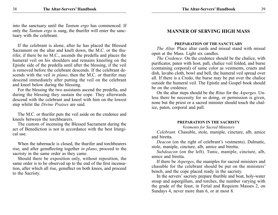into the sanctuary until the *Tantum ergo* has commenced. If only the *Tantum ergo* is sung, the thurifer will enter the sanctuary with the celebrant.

If the celebrant is alone, after he has placed the Blessed Sacrament on the altar and knelt down, the M.C. or the thurifer, if there be no M.C., ascends the predella and places the humeral veil on his shoulders and remains kneeling on the Epistle side of the predella until after the blessing, if the veil is removed before the celebrant descends. If the celebrant descends with the veil *in plano*, then the M.C. or thurifer may descend immediately after putting the veil on the celebrant and kneel below during the blessing.

For the blessing the two assistants ascend the predella, and during the blessing they sustain the cope. They afterwards descend with the celebrant and kneel with him on the lowest step whilst the *Divine Praises* are said.

The M.C. or thurifer puts the veil aside on the credence and kneels between the torchbearers.

The custom of incensing the Blessed Sacrament during the act of Benediction is not in accordance with the best liturgical use.

When the tabernacle is closed, the thurifer and torchbearers rise, and after genuflecting together *in plano*, proceed to the sacristy in the same order as they came.

Should there be exposition only, without reposition, the same order is to be observed up to the end of the first incensation, after which all rise, genuflect on both knees, and proceed to the Sacristy.

# **MANNER OF SERVING HIGH MASS**

#### **Preparation of the Sanctuary**

*The Altar.* Place altar cards and missal stand with missal open at the Mass. Light six candles.

*The Credence.* On the credence should be the chalice, with purificator, paten with host, pall, chalice veil folded, and burse (containing corporal) of same color as vestments, cruets and dish, lavabo cloth, bowl and bell, the humeral veil spread over all. If there is a Credo, the burse may be put over the chalice outside the humeral veil. The Epistle and Gospel book should be on the credence.

On the altar steps should be the *Ritus* for the *Asperges.* Unless there be necessity for so doing, or permission is given, none but the priest or a sacred minister should touch the chalice, paten, corporal and pall.

#### **Preparation in the Sacristy**

#### *Vestments for Sacred Ministers*

*Celebrant.* Chasuble, stole, maniple, cincture, alb, amice and biretta.

*Deacon* (on the right of celebrant's vestments). Dalmatic, stole, maniple, cincture, alb, amice and biretta.

*Subdeacon* (on the left). Tunic, maniple, cincture, alb, amice and biretta.

If there be *Asperges*, the maniples for sacred ministers and chasuble for the celebrant should be put on the ministers' bench, and the cope placed ready in the sacristy.

In the servers' sacristy prepare thurible and boat, holy-water stoup and aspergillum, and torches, the number varying with the grade of the feast, in Ferial and Requiem Masses 2, on Sundays 4, never more than 6, or at most 8.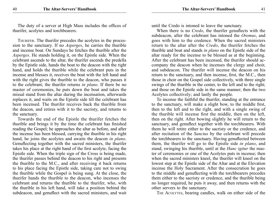The duty of a server at High Mass includes the offices of thurifer, acolytes and torchbearers.

THURIFER. The thurifer precedes the acolytes in the procession to the sanctuary. If no *Asperges*, he carries the thurible and incense boat. On Sundays he fetches the thurible after the *Asperges*. He stands holding it, on the Epistle side. When the celebrant ascends to the altar, the thurifer ascends the predella by the Epistle side, hands the boat to the deacon with the right hand, and holds the thurible while the celebrant puts in the incense and blesses it, receives the boat with the left hand and with the right gives the thurible to the deacon, who passes it to the celebrant; the thurifer returns *in plano*. If there be no master of ceremonies, he puts down the boat and takes the missal stand from the altar during the incensation, afterwards replaces it, and waits on the Epistle side till the celebrant has been incensed. The thurifer receives back the thurible from the deacon, and retires with it to the sacristy, and returns to the sanctuary.

Towards the end of the Epistle the thurifer fetches the thurible and brings it by the time the celebrant has finished reading the Gospel; he approaches the altar as before, and after the incense has been blessed, carrying the thurible in his right hand, he joins the acolytes and awaits the deacon *in plano*. Genuflecting together with the sacred ministers, the thurifer takes his place at the right hand of the first acolyte, facing the Epistle side. When the triple sign of the Cross is being made, the thurifer passes behind the deacon to his right and presents the thurible to the M.C., and after receiving it back returns to his place facing the Epistle side, taking care not to swing the thurible while the Gospel is being sung. At the close, the thurifer hands the thurible to the deacon, who incenses the celebrant and returns the thurible to the thurifer, who, with the thurible in his left hand, will take a position behind the subdeacon, and genuflect with the sacred ministers, and wait until the Credo is intoned to leave the sanctuary.

When there is no *Credo*, the thurifer genuflects with the subdeacon, after the celebrant has intoned the *Oremus*, and goes with him to the credence. When the sacred ministers return to the altar after the *Credo*, the thurifer fetches the thurible and boat and stands *in plano* on the Epistle side of the altar ready for the incense to be blessed as at the beginning. After the celebrant has been incensed, the thurifer should accompany the deacon when he incenses the clergy and choir, and subdeacon. The thurifer will incense the deacon on his return to the sanctuary, and then incense, first, the M.C., then those in choir on the Gospel side collectively, with three single swings of the thurible in the center, to the left and to the right; and those on the Epistle side in the same manner; then the two Acolytes collectively; and lastly the people.

To incense the faithful the thurifer, standing at the entrance to the sanctuary, will make a slight bow, to the middle first, then to the left and to the right, and with a single swing of the thurible will incense first the middle, then on the left, then on the right. After bowing slightly he will return to the sanctuary, and genuflect together with the torchbearers. With them he will retire either to the sacristy or the credence, and after recitation of the *Sanctus* by the celebrant will precede the torchbearers to the sanctuary. Having genuflected between them, the thurifer will go to the Epistle side *in plano*, and stand, swinging his thurible, until at the *Hanc igitur* the master of ceremonies or one of the Acolytes puts in incense; then when the sacred ministers kneel, the thurifer will kneel on the lowest step at the Epistle side of the Altar and at the Elevation incense the Holy Sacrament. After the consecration he goes to the middle and genuflecting with the torchbearers precedes them either to the sacristy or credence, and the thurible being no longer required, he puts it away, and then returns with the other servers to the sanctuary.

The Acolytes, bearing candles, walk on either side of the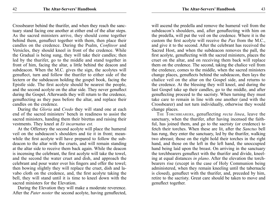Crossbearer behind the thurifer, and when they reach the sanctuary stand facing one another at either end of the altar steps. As the sacred ministers arrive, they should come together behind them, genuflect together with them, then place their candles on the credence. During the Psalm, *Confiteor* and Versicles, they should kneel in front of the credence. While the Gradual is being sung, they will take their candles; then led by the thurifer, go to the middle and stand together in front of him, facing the altar, a little behind the deacon and subdeacon. When the M.C. gives the sign, the acolytes will genuflect, turn and follow the thurifer to either side of the lectern or the subdeacon holding the gospel book, facing the Epistle side. The first acolyte should be nearest the people, and the second acolyte on the altar side. They never genuflect during the Gospel. Afterwards they will return to the credence, genuflecting as they pass before the altar, and replace their candles on the credence.

During the *Gloria* and *Credo* they will stand one at each end of the sacred ministers' bench in readiness to assist the sacred ministers, handing them their birettas and raising their vestments. They kneel at *Et incarnatus est.*

At the Offertory the second acolyte will place the humeral veil on the subdeacon's shoulders and tie it in front; meanwhile the first acolyte will have prepared to follow the subdeacon to the altar with the cruets, and will remain standing at the altar side to receive them back again. While the deacon is incensing the celebrant, the first acolyte will take the towel, and the second the water cruet and dish, and approach the celebrant and pour water over his fingers and offer the towel; then bowing slightly they will replace the cruet, dish and lavabo cloth on the credence, and, the first acolyte taking the bell, they will stand until it is time to kneel down with the sacred ministers for the Elevation.

During the Elevation they will make a moderate reverence. After the *Pater noster* the second acolyte, having genuflected, will ascend the predella and remove the humeral veil from the subdeacon's shoulders, and, after genuflecting with him on the predella, will put the veil on the credence. Where it is the custom the first acolyte will receive the *Pax* from the M.C., and give it to the second. After the celebrant has received the Sacred Host, and when the subdeacon removes the pall, the first acolyte, genuflecting with the sacred ministers, places the cruet on the altar, and on receiving them back will replace them on the credence. The second, taking the chalice veil from the credence, comes to the middle, when the sacred ministers change places, genuflects behind the subdeacon, then lays the chalice veil on the altar on the Gospel side, and returns to the credence. At the blessing they will kneel, and during the last Gospel take up their candles, go to the middle, and after genuflecting proceed to the sacristy. When turning they must take care to remain in line with one another (and with the Crossbearer) and not turn individually, otherwise they would change places.

The Torchbearers, genuflecting *recta linea*, leave the sanctuary, when the thurifer, after having incensed the faithful, has joined them, and go to the sacristy (or credence) to fetch their torches. When these are lit, after the *Sanctus* bell has rung, they enter the sanctuary, led by the thurifer, walking two abreast; those on the right hold their torches in the right hand, and those on the left in the left hand, the unoccupied hand being laid upon the breast. On arriving in the sanctuary the torchbearers genuflect with the thurifer and divide, kneeling at equal distances *in plano*. After the elevation the torchbearers rise (except in the case of Holy Communion being administered, when they remain kneeling until the tabernacle is closed), genuflect with the thurifer, and, preceded by him, retire to the sacristy. Great care should be taken to move and genuflect together.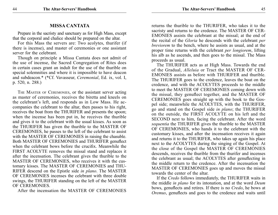#### **MISSA CANTATA**

Prepare in the sacristy and sanctuary as for High Mass, except that the corporal and chalice should be prepared on the altar.

For this Mass the servers are: Two acolytes, thurifer (if there is incense), and master of ceremonies or one assistant server for the celebrant.

Though on principle a Missa Cantata does not admit of the use of incense, the Sacred Congregation of Rites does in certain cases grant an indult for the use of the thurible on special solemnities and where it is impossible to have deacon and subdeacon.\* (\*Cf. Vavasseur, *Ceremonial*, Ed. ix, vol. I, p. 520, n. 288.)

The Master of Ceremonies, or the assistant server acting as master of ceremonies, receives the biretta and kneels on the celebrant's left, and responds as in Low Mass. He accompanies the celebrant to the altar, then passes to his right, receives the boat from the THURIFER and presents the spoon; when the incense has been put in, he receives the thurible and gives it to the celebrant with the usual kisses. As soon as the THURIFER has given the thurible to the MASTER OF CEREMONIES, he passes to the left of the celebrant to assist with the MASTER OF CEREMONIES in raising the chasuble. Both MASTER OF CEREMONIES and THURIFER genuflect when the celebrant bows before the crucifix. Meanwhile the FIRST ACOLYTE removes the missal stand and replaces it after the incensation. The celebrant gives the thurible to the MASTER OF CEREMONIES, who receives it with the customary kisses. The MASTER OF CEREMONIES and THU-RIFER descend on the Epistle side *in plano*. The MASTER OF CEREMONIES incenses the celebrant with three double swings, the THURIFER standing on the left of the MASTER OF CEREMONIES.

After the incensation the MASTER OF CEREMONIES

returns the thurible to the THURIFER, who takes it to the sacristy and returns to the credence. The MASTER OF CER-EMONIES assists the celebrant at the missal; at the end of the recital of the *Gloria* he descends with the celebrant *per breviorem* to the bench, where he assists as usual, and at the proper time returns with the celebrant *per longiorem*, lifting his alb as he ascends, and then goes to the missal. The Mass proceeds as usual.

The THURIFER acts as at High Mass. Towards the end of the Gradual, *Alleluia* or Tract the MASTER OF CER-EMONIES assists as before with THURIFER and thurible. The THURIFER goes to the credence, leaves the boat on the credence, and with the ACOLYTES proceeds to the middle to meet the MASTER OF CEREMONIES coming down with the missal, they genuflect together, and the MASTER OF CEREMONIES goes straight up with the book to the Gospel side; meanwhile the ACOLYTES, with the THURIFER, go and stand on the Gospel side *in plano*; the THURIFER on the outside, the FIRST ACOLYTE on his left and the SECOND next to him, facing the celebrant. After the word *sequentia* the THURIFER gives the thurible to the MASTER OF CEREMONIES, who hands it to the celebrant with the customary kisses, and after the incensation receives it again and returns it to the THURIFER, who takes up again his place next to the ACOLYTES during the singing of the Gospel. At the close of the Gospel the MASTER OF CEREMONIES descends, receives the thurible from the thurifer and incenses the celebrant as usual; the ACOLYTES after genuflecting in the middle return to the credence. After the incensation the MASTER OF CEREMONIES goes up and moves the missal towards the center of the altar.

If the *Credo* follows immediately, the THURIFER waits in the middle *in plano* for its intonation, and at the word *Deum* bows, genuflects and retires. If there is no *Credo*, he bows at *Oremus*, genuflects and goes to the credence and waits until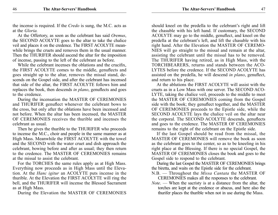the incense is required. If the *Credo* is sung, the M.C. acts as at the *Gloria.*

At the Offertory, as soon as the celebrant has said *Oremus*, the SECOND ACOLYTE goes to the altar to take the chalice veil and places it on the credence. The FIRST ACOLYTE meanwhile brings the cruets and removes them in the usual manner. Then the THURIFER should ascend the altar for the imposition of incense, passing to the left of the celebrant as before.

While the celebrant incenses the oblations and the crucifix, the FIRST ACOLYTE comes to the middle, genuflects and goes straight up to the altar, removes the missal stand, descends on the Gospel side, and after the celebrant has incensed that side of the altar, the FIRST ACOLYTE follows him and replaces the book, then descends *in plano*, genuflects and goes to the credence.

During the incensation the MASTER OF CEREMONIES and THURIFER genuflect whenever the celebrant bows to the cross, but only after the oblations have been incensed and not before. When the altar has been incensed, the MASTER OF CEREMONIES receives the thurible and incenses the celebrant as usual.

Then he gives the thurible to the THURIFER who proceeds to incense the M.C., choir and people in the same manner as at High Mass. Meanwhile the FIRST ACOLYTE with the towel and the SECOND with the water cruet and dish approach the celebrant, bowing before and after as usual; they then return to the credence. The MASTER OF CEREMONIES remains at the missal to assist the celebrant.

For the TORCHES the same rules apply as at High Mass. Everything now proceeds as in High Mass until the Elevation. At the *Hanc igitur* an ACOLYTE puts incense in the thurible. At the Elevation the FIRST ACOLYTE will ring the bell, and the THURIFER will incense the Blessed Sacrament as at High Mass.

During the Elevation the MASTER OF CEREMONIES

should kneel on the predella to the celebrant's right and lift the chasuble with his left hand. If customary, the SECOND ACOLYTE may go to the middle, genuflect, and kneel on the predella at the celebrant's left, and lift the chasuble with his right hand. After the Elevation the MASTER OF CEREMO-NIES will go straight to the missal and remain at the altar, assisting the celebrant until the missal has to be removed. The THURIFER having retired, as in High Mass, with the TORCHBEARERS, returns and stands between the ACO-LYTES before the credence. If the SECOND ACOLYTE has assisted on the predella, he will descend *in plano*, genuflect, and return to his place.

At the ablutions the FIRST ACOLYTE will assist with the cruets as in a Low Mass with one server. The SECOND ACO-LYTE, taking the chalice veil, proceeds to the middle to meet the MASTER OF CEREMONIES coming from the Gospel side with the book; they genuflect together, and the MASTER OF CEREMONIES proceeds to the Epistle side, while the SECOND ACOLYTE lays the chalice veil on the altar near the corporal. The SECOND ACOLYTE descends, genuflects and goes to the credence. The MASTER OF CEREMONIES remains to the right of the celebrant on the Epistle side.

If the last Gospel should be read from the missal, the MASTER OF CEREMONIES will remove the book as soon as the celebrant goes to the center, so as to be kneeling in his right place at the Blessing. If there is no special Gospel, the MASTER OF CEREMONIES closes the book and goes to the Gospel side to respond to the celebrant.

During the last Gospel the MASTER OF CEREMONIES brings the biretta, and waits on the Epistle side for the celebrant.

- N.B. Throughout the *Missa Cantata* the MASTER OF
	- CEREMONIES makes all the responses to the celebrant.
- *Note*. When the sacristy is at a distance from the altar, the torches are kept at the credence or abacus, and here also the thurifer places the thurible when not in use during the Mass.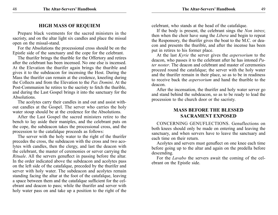# **HIGH MASS OF REQUIEM**

Prepare black vestments for the sacred ministers in the sacristy, and on the altar light six candles and place the missal open on the missal-stand.

For the Absolutions the processional cross should be on the Epistle side of the sanctuary and the cope for the celebrant.

The thurifer brings the thurible for the Offertory and retires after the celebrant has been incensed. No one else is incensed. At the Elevation the thurifer again brings the thurible and gives it to the subdeacon for incensing the Host. During the Mass the thurifer can remain at the credence, kneeling during the Collects and from the Elevation to the *Pax Domini*. At the Post-Communion he retires to the sacristy to fetch the thurible, and during the Last Gospel brings it into the sanctuary for the Absolutions.

The acolytes carry their candles in and out and assist without candles at the Gospel. The server who carries the holy water stoup should be at the credence for the Absolutions.

After the Last Gospel the sacred ministers retire to the bench to lay aside their maniples, and the celebrant puts on the cope, the subdeacon takes the processional cross, and the procession to the catafalque proceeds as follows:

The server with the holy water to the right of the thurifer precedes the cross, the subdeacon with the cross and two acolytes with candles, then the clergy, and last the deacon with the celebrant, the master of ceremonies or server carrying the *Rituale*. All the servers genuflect in passing before the altar. In the order indicated above the subdeacon and acolytes pass on the left side of the catafalque, preceded by the thurifer and server with holy water. The subdeacon and acolytes remain standing facing the altar at the foot of the catafalque, leaving a space between them and the catafalque sufficient for the celebrant and deacon to pass; while the thurifer and server with holy water pass on and take up a position to the right of the

celebrant, who stands at the head of the catafalque.

If the body is present, the celebrant sings the *Non intres*; then when the choir have sung the *Libera* and begin to repeat the Responsory, the thurifer gives the boat to the M.C. or deacon and presents the thurible, and after the incense has been put in retires to his former place.

At the last *Kyrie* the server gives the *aspersorium* to the deacon, who passes it to the celebrant after he has intoned *Pater noster*. The deacon and celebrant and master of ceremonies proceed round the catafalque; the server with the holy water and the thurifer remain in their place, so as to be in readiness to receive back the *aspersorium* and hand the thurible to the deacon.

After the incensation, the thurifer and holy water server go and stand behind the subdeacon, so as to be ready to lead the procession to the church door or the sacristy.

# **MASS BEFORE THE BLESSED SACRAMENT EXPOSED**

CONCERNING GENUFLECTIONS. Genuflections on both knees should only be made on entering and leaving the sanctuary, and when servers have to leave the sanctuary and each time on their return.

Acolytes and servers must genuflect on one knee each time before going up to the altar and again on the predella before descending.

For the *Lavabo* the servers await the coming of the celebrant on the Epistle side.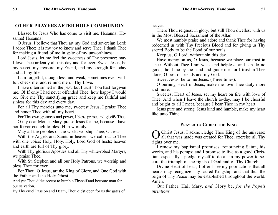# **other prayers AFTER HOLY COMMUNION**

Blessed be Jesus Who has come to visit me. Hosanna! Hosanna! Hosanna!

O Jesus, I believe that Thou art my God and sovereign Lord: I adore Thee; it is my joy to know and serve Thee. I thank Thee for making a friend of me in spite of my unworthiness.

Lord Jesus, let me feel the sweetness of Thy presence; may I love Thee ardently all this day and for ever. Sweet Jesus, be my secret, my treasure, my Friend, and my strength for today and all my life.

I am forgetful, thoughtless, and weak; sometimes even willful: check me, and remind me of Thy Love.

I have often sinned in the past; but I trust Thou hast forgiven me. O! If only I had never offended Thee, how happy I would be. Give me Thy sanctifying grace and keep me faithful and sinless for this day and every day.

For all Thy mercies unto me, sweetest Jesus, I praise Thee and honor Thee with all my heart.

For Thy own greatness and power, I bless, praise, and glorify Thee.

O my dear Mother Mary, praise Jesus for me, because I have not fervor enough to bless Him worthily.

May all the peoples of the world worship Thee, O Jesus.

With the Angels and Saints in heaven, we call out to Thee with one voice: Holy, Holy, Holy, Lord God of hosts; heaven and earth are full of Thy glory.

With Thy glorious Apostles and all Thy white-robed Martyrs, we praise Thee.

With St. Stephen and all our Holy Patrons, we worship and bless Thee for ever.

For Thou, O Jesus, art the King of Glory, and One God with the Father and the Holy Ghost.

And yet Thou didst accept to humble Thyself and become man for our salvation.

By Thy cruel Passion and Death, Thou didst open for us the gates of

heaven.

There Thou reignest in glory; but still Thou dwellest with us in the Most Blessed Sacrament of the Altar.

We most humbly praise and adore and thank Thee for having redeemed us with Thy Precious Blood and for giving us Thy sacred Body to be the Food of our souls.

Keep us, O Lord, without sin this day.

Have mercy on us, O Jesus, because we place our trust in Thee. Without Thee I am weak and helpless, and can do no good; 'hold me by the hand and guide me, for I trust in Thee alone, O best of friends and my God.

Sweet Jesus, be to me Jesus. (Three times).

O burning Heart of Jesus, make me love Thee daily more and more.

Sweetest Heart of Jesus, set my heart on fire with love of Thee. And when I leave the church to-day, may I be cheerful and bright to all I meet, because I bear Thee in my heart.

Jesus pure and strong, Jesus kind and humble, make my heart like unto Thine.

#### **Prayer to Christ the King**

OChrist Jesus, I acknowledge Thee King of the universe;<br>all that was made was created for Thee; exercise all Thy rights over me.

I renew my baptismal promises, renouncing Satan, his works, and his pomps; and I promise to live as a good Christian; especially I pledge myself to do all in my power to secure the triumph of the rights of God and of Thy Church.

Divine Heart of Jesus, I offer Thee my poor actions that all hearts may recognize Thy sacred Kingship, and that thus the reign of Thy Peace may be established throughout the world. Amen.

Our Father, Hail Mary, *and* Glory be, *for the Pope's intentions.*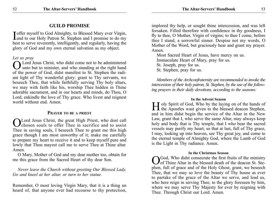# **GUILD PROMISE**

I offer myself to God Almighty, to Blessed Mary ever Virgin,<br>and to our Holy Patron St. Stephen and I promise to do my Toffer myself to God Almighty, to Blessed Mary ever Virgin, best to serve reverently, intelligently, and regularly, having the glory of God and my own eternal salvation as my object.

#### *Let us pray*

OLord Jesus Christ, who didst come not to be administered unto but to minister, and who standing at the right hand of the power of God, didst manifest to St. Stephen the radiant light of Thy wonderful glory: grant to Thy servants, we beseech Thee, that while faithfully serving Thy holy altars, we may with faith like his, worship Thee hidden in Thine adorable sacrament, and in our hearts and minds, do Thou, O Lord, enkindle the love of Thy grace. Who livest and reignest world without end. Amen.

#### **Prayer to be a priest**

Lord Jesus Christ, the great High Priest, who dost call **J** chosen souls to offer Thee in sacrifice and to assist Thee in saving souls, I beseech Thee to grant me this high grace though  $\overline{I}$  am most unworthy of it; make me carefully to prepare my heart to receive it and to keep myself pure and lowly that Thou mayest call me to serve Thee at Thine altar. Amen.

O Mary, Mother of God and my dear mother too, obtain for me this grace from the Sacred Heart of thy dear Son.

*Never leave the Church without greeting Our Blessed Lady. Go and kneel at her altar, or turn to her statue.*

Remember, O most loving Virgin Mary, that it is a thing un heard of, that anyone ever had recourse to thy protection,

implored thy help, or sought thine intercession, and was left forsaken. Filled therefore with confidence in thy goodness, I fly to thee, O Mother, Virgin of virgins; to thee I come, before thee I stand, a sorrowful sinner. Despise not my words, O Mother of the Word, but graciously hear and grant my prayer. Amen.

Most Sacred Heart of Jesus, have mercy on us. Immaculate Heart of Mary, pray for us. St. Joseph, pray for us. St. Stephen, pray for us.

*Members of the Archconfraternity are recommended to invoke the intercession of their holy patron, St. Stephen, by the use of the following prayers in their daily devotions, according to the seasons:*

**In the Advent Season**<br>**I I** oly Spirit of God, Who by the laying on of the hands of Holy Spirit of God, Who by the laying on of the hands of the Apostles wast given to the blessed deacon Stephen, and in him didst begin the service of the Altar in the New Law, grant that I, who serve the same Altar, may always keep holy and body that is Thy temple, that I who bear the sacred vessels may purify my heart; so that at last, full of Thy grace, I may, looking up into heaven, see Thy great joy, and come to the eternal temple of Almighty God, where the Lamb of God is the Light in Thy radiance. Amen.

#### **In the Christmas Season**

God, Who didst consecrate the first fruits of the ministry of Thine Altar in the blessed death of the deacon St. Stephen, full of grace and of the Holy Ghost, grant, we beseech Thee, that we may so love the beauty of Thy house as ever to partake of the grace of the Altar we serve, and lead us, who here reign in serving Thee, to the glory foreseen by him, where we may serve Thy Majesty for ever by reigning with Thee. Through Christ our Lord. Amen.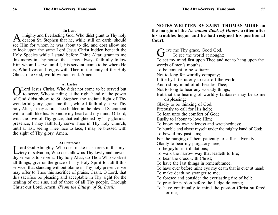**In Lent**<br>Imighty and Everlasting God, Who didst grant to Thy holy A lmighty and Everlasting God, Who didst grant to Thy holy deacon St. Stephen that he, while still on earth, should see Him for whom he was about to die, and dost allow me to look upon the same Lord Jesus Christ hidden beneath the Holy Species while I stand before Thine Altar, grant to me this mercy in Thy house, that I may always faithfully follow Him whom I serve, until I, His servant, come to be where He is, Who lives and reigns with Thee in the unity of the Holy Ghost, one God, world without end. Amen.

#### **At Easter**

Lord Jesus Christ, Who didst not come to be served but to serve, Who standing at the right hand of the power of God didst show to St. Stephen the radiant light of Thy wonderful glory, grant me that, while I faithfully serve Thy holy Altar, I may adore Thee hidden in the blessed Sacrament with a faith like his. Enkindle my heart and my mind, O Lord, with the love of Thy grace, that enlightened by Thy glorious presence, I may faithfully serve Thee in Thy holy Church, until at last, seeing Thee face to face, I may be blessed with the sight of Thy glory. Amen.

#### **At Pentecost**

Lord God Almighty, Who dost make us sharers in this mys<br>tery of salvation, Who dost allow us Thy lowly and unworthy servants to serve at Thy holy Altar, do Thou Who workest all things, give us the grace of Thy Holy Spirit to fulfill this service; that standing without blame in Thy holy presence, we may offer to Thee this sacrifice of praise. Grant, O Lord, that this sacrifice be pleasing and acceptable in Thy sight for the healing of our sins, and of those of all Thy people. Through Christ our Lord. Amen. *(From the Liturgy of St. Basil).*

**NOTES WRITTEN BY SAINT THOMAS MORE on the margin of the** *Newnham Book of Hours***, written after his troubles began and he had resigned his position at Court.**

 $\sim$  ive me Thy grace, Good God, To see the world at nought; To set my mind fast upon Thee and not to hang upon the words of men's mouths; To be content to be solitary; Not to long for worldly company; Little by little utterly to cast off the world, And rid my mind of all besides Thee; Not to long to hear any worldly things, But that the hearing of worldly fantasies may be to me displeasing; Gladly to be thinking of God; Piteously to call for His help; To lean unto the comfort of God; Busily to labour to love Him; To know my own vileness and wretchedness; To humble and abase myself under the mighty hand of God; To bewail my past sins; For the purging of them patiently to suffer adversity; Gladly to bear my purgatory here; To be joyful in tribulations; To walk the narrow way that leadeth to life; To bear the cross with Christ; To have the last things in remembrance; To have ever before mine eye my death that is ever at hand; To make death no stranger to me; To foresee and consider the everlasting fire of hell; To pray for pardon before the Judge do come; To have continually to mind the passion Christ suffered for me;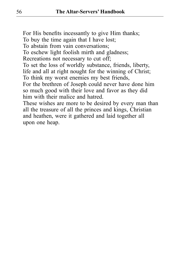For His benefits incessantly to give Him thanks; To buy the time again that I have lost; To abstain from vain conversations; To eschew light foolish mirth and gladness; Recreations not necessary to cut off; To set the loss of worldly substance, friends, liberty, life and all at right nought for the winning of Christ; To think my worst enemies my best friends, For the brethren of Joseph could never have done him so much good with their love and favor as they did him with their malice and hatred. These wishes are more to be desired by every man than

all the treasure of all the princes and kings, Christian and heathen, were it gathered and laid together all upon one heap.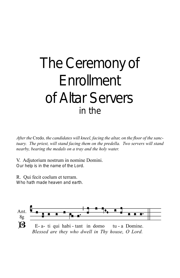# The Ceremony of **Enrollment** of Altar Servers in the

*After the* Credo*, the candidates will kneel, facing the altar, on the floor of the sanc*tuary. The priest, will stand facing them on the predella. Two servers will stand *nearby, bearing the medals on a tray and the holy water.*

V. Adjutorium nostrum in nomine Domini. Our help is in the name of the Lord.

R. Qui fecit coelum et terram. Who hath made heaven and earth.

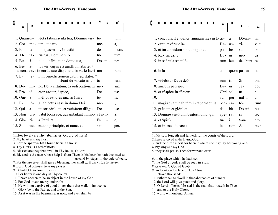

| J. E-       | LC-   | hiili passel mveliit sibi                                                                       | uo-      | шшш. |
|-------------|-------|-------------------------------------------------------------------------------------------------|----------|------|
| 4. Al-      | tá-   | ria tua, Dómine vir-                                                                            | tum:     |      |
| 5. Be-      | á-    | ti, qui hábitant in domo tua,                                                                   | Dó-mi-   | ne:  |
| 6. Be-      | á-    | tus vir, cujus est auxilium abs te: †<br>ascensiónes in corde suo dispósuit, in valle lacri-má- |          | rum, |
| 7. E-       | te-   | nim benedictiónem dabit legislátor, †<br>ibunt de virtúte in vir-tú-                            |          | tem: |
| 8. Dó-      | $m1-$ | ne, Deus virtútum, exáudi oratiónem me-                                                         |          | am:  |
| $9. Pro-te$ |       | ctor noster, áspice,                                                                            | De-      | us:  |
| 10. Qui-    | a     | mélior est dies una in átriis                                                                   | tu-      | is,  |
| $11.E-$     | lé-   | gi abjéctus esse in domo Dei                                                                    | me-      | i,   |
| 12. Qui-    | a     | misericórdiam, et veritátem díligit                                                             | De-      | us:  |
| 13. Non     | pri-  | vábit bonis eos, qui ámbulant in inno- cén-ti-                                                  |          | a:   |
| 14. Gló-    | $ri-$ | a Patri et                                                                                      | $Fi li-$ | О,   |
| $15. Si-$   | cut   | erat in princípio, et nunc, et                                                                  | sem-     | per, |

1. How lovely are Thy tabernacles, O Lord of hosts!

2. My heart and my flesh

3. For the sparrow hath found herself a house:

4. Thy altars, O Lord of hosts:

5. Blessed are they that dwell in Thy house, O Lord:

6. Blessed is the man whose help is from Thee: in his heart he hath disposed to ascend by steps, in the vale of tears,

7. For the lawgiver shall give a blessing, they shall go from virtue to virtue:

8. Lord, God of hosts, hear my prayer:

9. Behold, O God our protector:

10. For better is one day in Thy courts

11. I have chosen to be an abject in the house of my God:

12. For God loveth mercy and truth:

13. He will not deprive of good things them that walk in innocence:

14. Glory be to the Father, and to the Son,

15. As it was in the beginning, is now, and ever shall be,

|  | - <del>--------------</del> |  |  |  |  |  |  |  |  |
|--|-----------------------------|--|--|--|--|--|--|--|--|
|  |                             |  |  |  |  |  |  |  |  |
|  |                             |  |  |  |  |  |  |  |  |

| 1. concupíscit et déficit ánimam mea in á-tri- |             | a              | Dó-mi-                     | ni.  |
|------------------------------------------------|-------------|----------------|----------------------------|------|
| 2. exsultavérunt in-                           | De-         | um             | $\overline{\mathbf{v}}$ i- | vum. |
| 3. et turtur nidum sibi, ubi ponat-            | pul-        | los            | su-                        | OS.  |
| 4. Rex meus, et                                | De-         | us             | me-                        | us.  |
| 5. in saécula sæculó-                          | rum         | lau-           | dá-bunt te.                |      |
| $6.$ in lo-                                    | $_{\rm co}$ |                | quem pó-su-                | it.  |
| 7. vidébitur Deus deó-                         | rum         | $\overline{m}$ | $Si-$                      | on.  |
| 8. áuribus pércipe,                            | De-us       |                | Ja-                        | cob. |
| 9. et réspice in fáciem                        | Chri- sti   |                | tu-                        | İ    |
| 10.                                            | su-         | per            | míl-li-                    | a.   |
| 11. magis quam habitáre in tabernáculis        | pec-ca-     |                | tó-                        | rum. |
| 12. grátiam et glóriam                         | da-         | bit            | Dó-mi-                     | nus. |
| 13. Dómine virtútum, beátus homo, qui          | spe-rat     |                | $\mathbf{m}$               | te.  |
| 14. et Spiri-                                  | tu-         | $\mathbf{1}$   | San-                       | cto. |
| 15, et in sæcula sæcu-                         | ló-         | rum.           | $A -$                      | men. |

1. My soul longeth and fainteth for the courts of the Lord.

2. have rejoiced in the living God.

3. and the turtle a nest for herself where she may lay her young ones.

4. my king and my God.

5. they shall praise Thee forever and ever.

6. in the place which he hath set.

7. the God of gods shall be seen in Sion.

8. give ear, O God of Jacob.

9. and look on the face of Thy Christ:

10. above thousands.

11. rather than to dwell in the tabernacles of sinners.

12. the Lord will give grace and glory.

13. O Lord of hosts, blessed is the man that trusteth in Thee.

14. and to the Holy Ghost.

15. world without end. Amen.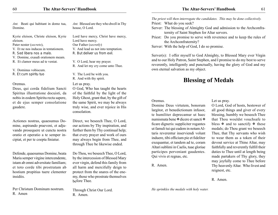*Ant.* Beati qui habitant in domo tua, Domine.

Kyrie eleison, Christe eleison, Kyrie eleison.

Pater noster (*secreto*),

- V. Et ne nos inducas in tentationem.
- R. Sed libera nos a malo.
- V. Domine, exaudi orationem meam.
- R. Et clamor meus ad te veniat.

V. Dominus vobiscum.

R. Et cum spiritu tuo

#### Oremus.

Deus, qui corda fidelium Sancti Spiritus illustratione docuisti, da nobis in eodem Spiritu recta sapere, et de ejus semper consolatione gaudere.

Actiones nostras, quaesumus Domine, aspirando praeveni, et adjuvando prosequere ut cuncta nostra oratio et operatio a te semper incipiat, et per te coepta finiatur.

Defende, quaesumus Domine, beata Maria semper virgine intercendente, istam ab omni adversitate familiam; et toto corde tibi prostratam ab hostium propitius tuere clementer insidiis.

Per Christum Dominum nostrum. R. Amen

Lord have mercy, Christ have mercy, Lord have mercy. Our Father (*secretly*) V. And lead us not into temptation. R. But deliver us from evil.

*Ant.* Blessed are they who dwell in Thy

V. O Lord, hear my prayer.

R. And let my cry come unto Thee.

V. The Lord be with you. R. And with thy spirit.

#### Let us pray.

house, O Lord.

O God, Who has taught the hearts of the faithful by the light of the Holy Ghost, grant that, by the gift of the same Spirit, we may be always truly wise, and ever rejoice in His consolation.

Direct, we beseech Thee, O Lord, our actions by Thy inspiration, and further them by Thy continual help; that every prayer and work of ours may always begin from Thee, and through Thee be likewise ended.

Do Thou, we beseech Thee, O Lord, by the intercession of Blessed Mary ever virgin, defend this family from all harm and mercifully deign to protect from the snares of the enemy, those who prostrate themselves before Thee.

Through Christ Our Lord. R. Amen.

*The priest will then interrogate the candidates. This may be done collectively.* Priest: What do you seek? Server: The blessing of Almighty God and admission to the Archconfraternity of Saint Stephen for Altar servers. Priest: Do you promise to serve with reverence and to keep the rules of the Archconfraternity? Server: With the help of God, I do so promise.

Server(s): I offer myself to God Almighty, to Blessed Mary ever Virgin and to our Holy Patron, Saint Stephen, and I promise to do my best to serve reverently, intelligently and punctually, having the glory of God and my own eternal salvation as my object.

# **Blessing of Medals**

#### Oremus.

Domine Deus virtutem, bonorum largitor, et benedictionum infusor, te humiliter deprecamur ut haec numismata bene  $\mathbb F$  dicere et sancti  $\mathbb F$ ficare digneris: suppliciter rogantes ut famuli tui qui eadem in notam Altaris reverentur inserviendi volunt induere, tibi officium pie et fideliter exequantur, et tandem ad te, coram Altari sublimi in Caelis, tuae gloriae participes perveniant gaudentes. Qui vivis et regnas, etc.

R. Amen.

Let us pray.

O Lord, God of hosts, bestower of all good things and giver of every blessing, humbly we beseech Thee that Thou wouldst vouchsafe to bless  $\mathbb F$  and to sanctify  $\mathbb F$  these medals; do Thou grant we beseech Thee, that Thy servants who wish to wear them as a token of their devout service at Thine Altar, may faithfully and reverently fulfill their duties to Thee until at length being made partakers of Thy glory, they may joyfully come to Thee before Thy heavenly Altar. Who livest and reignest, etc.

R. Amen.

*He sprinkles the medals with holy water.*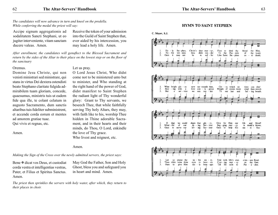*The candidates will now advance in turn and kneel on the predella. While conferring the medal the priest will say:*

Accipe signum aggregationis ad sodalitatem Sancti Stephani, ut eo jugiter interveniente, vitam sanctam ducere valeas. Amen.

Receive the token of your admission into the Guild of Saint Stephen that, ever aided by his intercession, you may lead a holy life. Amen.

O Lord Jesus Christ, Who didst

*After enrollment, the candidates will genuflect to the Blessed Sacrament and return by the sides of the Altar to their place on the lowest step or on the floor of the sanctuary*

Let us pray.

#### Oremus.

Amen.

Domine Jesu Christe, qui non venisti ministrari sed ministrare, qui stans in virtus Dei dextera ostendisti beato Stephano claritate fulgida admirabilem tuam gloriam, concede, quaesumus, ministris tuis ut eadem fide qua ille, te colant celatum in augusto Sacramento, dum sanctis altaribus tuis fideliter subministrent, et accende corda eorum et mentes ad amorem gratiae tuae. Qui vivis et regnas, etc.

come not to be ministered unto but to minister, and Who standing at the right hand of the power of God, didst manifest to Saint Stephen the radiant light of Thy wonderful glory: Grant to Thy servants, we beseech Thee, that while faithfully serving Thy holy Altars, they may, with faith like to his, worship Thee hidden in Thine adorable Sacrament, and in their hearts and their minds, do Thou, O Lord, enkindle the love of Thy grace. Who livest and reignest, etc.

#### Amen.

*Making the Sign of the Cross over the newly admitted servers, the priest says:*

Bene  $\Phi$  dicat vos Deus, et custodiat corda vestra et intelligentias vestras, Pater, et Filius et Spiritus Sanctus. Amen.

May God the Father, Son and Holy Ghost, bless you and safeguard you in heart and mind. Amen.

*The priest then sprinkles the servers with holy water, after which, they return to their places in choir.*

#### **HYMN TO SAINT STEPHEN**